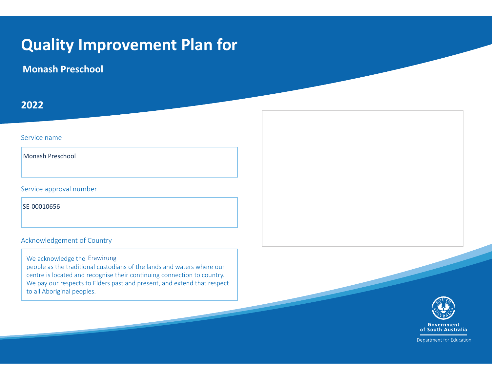## **Quality Improvement Plan for**

**Monash Preschool**

### **202Ϯ**

#### Service name

Monash Preschool

Service approval number

SE-00010656

Acknowledgement of Country

We acknowledge the Erawirungpeople as the traditional custodians of the lands and waters where our centre is located and recognise their continuing connection to country. We pay our respects to Elders past and present, and extend that respect to all Aboriginal peoples.



Department for Education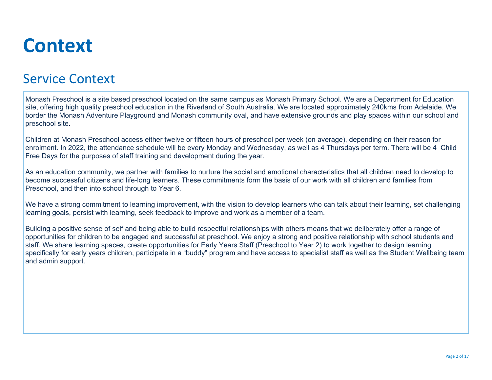## **Context**

### Service Context

Monash Preschool is <sup>a</sup> site based preschool located on the same campus as Monash Primary School. We are <sup>a</sup> Department for Education site, offering high quality preschool education in the Riverland of South Australia. We are located approximately 240kms from Adelaide. We border the Monash Adventure Playground and Monash community oval, and have extensive grounds and play spaces within our school and preschool site.

Children at Monash Preschool access either twelve or fifteen hours of preschool per week (on average), depending on their reason for enrolment. In 2022, the attendance schedule will be every Monday and Wednesday, as well as <sup>4</sup> Thursdays per term. There will be <sup>4</sup> Child Free Days for the purposes of staff training and development during the year.

As an education community, we partner with families to nurture the social and emotional characteristics that all children need to develop to become successful citizens and life-long learners. These commitments form the basis of our work with all children and families fromPreschool, and then into school through to Year 6.

We have a strong commitment to learning improvement, with the vision to develop learners who can talk about their learning, set challenging learning goals, persist with learning, seek feedback to improve and work as <sup>a</sup> member of <sup>a</sup> team.

Building <sup>a</sup> positive sense of self and being able to build respectful relationships with others means that we deliberately offer <sup>a</sup> range of opportunities for children to be engaged and successful at preschool. We enjoy <sup>a</sup> strong and positive relationship with school students and staff. We share learning spaces, create opportunities for Early Years Staff (Preschool to Year 2) to work together to design learning specifically for early years children, participate in <sup>a</sup> "buddy" program and have access to specialist staff as well as the Student Wellbeing teamand admin support.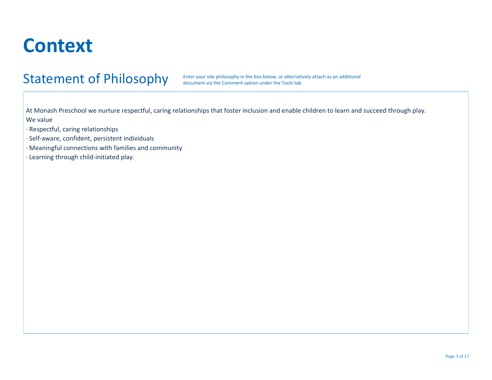## **Context**

### Statement of Philosophy

Enter your site philosophy in the box below, or alternatively attach as an additional document via the Comment option under the Tools tab

At Monash Preschool we nurture respectful, caring relationships that foster inclusion and enable children to learn and succeed through play. We value

- · Respectful, caring relationships
- · Self-aware, confident, persistent individuals
- · Meaningful connections with families and community
- · Learning through child-initiated play.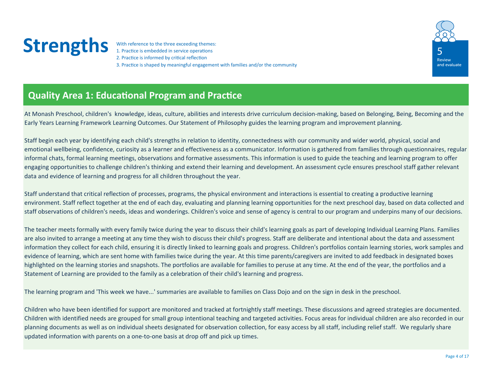With reference to the three exceeding themes:<br>
1. Practice is embedded in service operations<br>
2. Practice is informed by critical reflection 3. Practice is shaped by meaningful engagement with families and/or the community



### **Quality Area 1: Educational Program and Practice**

At Monash Preschool, children's knowledge, ideas, culture, abilities and interests drive curriculum decision-making, based on Belonging, Being, Becoming and the Early Years Learning Framework Learning Outcomes. Our Statement of Philosophy guides the learning program and improvement planning.

Staff begin each year by identifying each child's strengths in relation to identity, connectedness with our community and wider world, physical, social and emotional wellbeing, confidence, curiosity as a learner and effectiveness as a communicator. Information is gathered from families through questionnaires, regular informal chats, formal learning meetings, observations and formative assessments. This information is used to guide the teaching and learning program to offer engaging opportunities to challenge children's thinking and extend their learning and development. An assessment cycle ensures preschool staff gather relevant data and evidence of learning and progress for all children throughout the year.

Staff understand that critical reflection of processes, programs, the physical environment and interactions is essential to creating a productive learning environment. Staff reflect together at the end of each day, evaluating and planning learning opportunities for the next preschool day, based on data collected and staff observations of children's needs, ideas and wonderings. Children's voice and sense of agency is central to our program and underpins many of our decisions.

The teacher meets formally with every family twice during the year to discuss their child's learning goals as part of developing Individual Learning Plans. Families are also invited to arrange a meeting at any time they wish to discuss their child's progress. Staff are deliberate and intentional about the data and assessment information they collect for each child, ensuring it is directly linked to learning goals and progress. Children's portfolios contain learning stories, work samples and evidence of learning, which are sent home with families twice during the year. At this time parents/caregivers are invited to add feedback in designated boxes highlighted on the learning stories and snapshots. The portfolios are available for families to peruse at any time. At the end of the year, the portfolios and a Statement of Learning are provided to the family as a celebration of their child's learning and progress.

The learning program and 'This week we have...' summaries are available to families on Class Dojo and on the sign in desk in the preschool.

Children who have been identified for support are monitored and tracked at fortnightly staff meetings. These discussions and agreed strategies are documented. Children with identified needs are grouped for small group intentional teaching and targeted activities. Focus areas for individual children are also recorded in our planning documents as well as on individual sheets designated for observation collection, for easy access by all staff, including relief staff. We regularly share updated information with parents on a one-to-one basis at drop off and pick up times.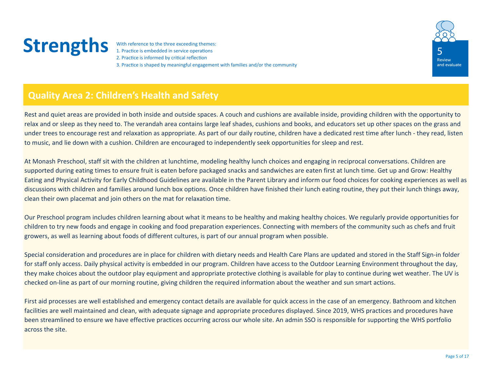With reference to the three exceeding themes:<br>1. Practice is embedded in service operations<br>2. Practice is informed by critical reflection 3. Practice is shaped by meaningful engagement with families and/or the community



### **Quality Area 2: Children's Health and Safety**

Rest and quiet areas are provided in both inside and outside spaces. A couch and cushions are available inside, providing children with the opportunity to relax and or sleep as they need to. The verandah area contains large leaf shades, cushions and books, and educators set up other spaces on the grass and under trees to encourage rest and relaxation as appropriate. As part of our daily routine, children have a dedicated rest time after lunch - they read, listen to music, and lie down with a cushion. Children are encouraged to independently seek opportunities for sleep and rest.

At Monash Preschool, staff sit with the children at lunchtime, modeling healthy lunch choices and engaging in reciprocal conversations. Children are supported during eating times to ensure fruit is eaten before packaged snacks and sandwiches are eaten first at lunch time. Get up and Grow: Healthy Eating and Physical Activity for Early Childhood Guidelines are available in the Parent Library and inform our food choices for cooking experiences as well as discussions with children and families around lunch box options. Once children have finished their lunch eating routine, they put their lunch things away, clean their own placemat and join others on the mat for relaxation time.

Our Preschool program includes children learning about what it means to be healthy and making healthy choices. We regularly provide opportunities for children to try new foods and engage in cooking and food preparation experiences. Connecting with members of the community such as chefs and fruit growers, as well as learning about foods of different cultures, is part of our annual program when possible.

Special consideration and procedures are in place for children with dietary needs and Health Care Plans are updated and stored in the Staff Sign-in folder for staff only access. Daily physical activity is embedded in our program. Children have access to the Outdoor Learning Environment throughout the day, they make choices about the outdoor play equipment and appropriate protective clothing is available for play to continue during wet weather. The UV is checked on-line as part of our morning routine, giving children the required information about the weather and sun smart actions.

First aid processes are well established and emergency contact details are available for quick access in the case of an emergency. Bathroom and kitchen facilities are well maintained and clean, with adequate signage and appropriate procedures displayed. Since 2019, WHS practices and procedures have been streamlined to ensure we have effective practices occurring across our whole site. An admin SSO is responsible for supporting the WHS portfolio across the site.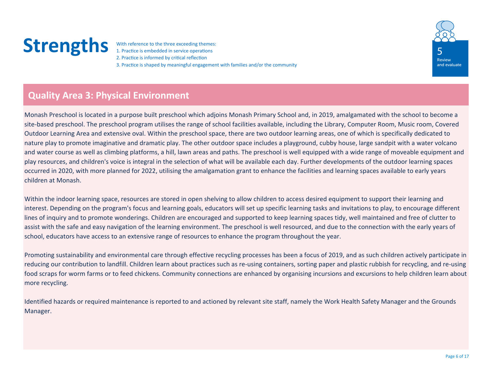With reference to the three exceeding themes:<br>
1. Practice is embedded in service operations<br>
2. Practice is informed by critical reflection 3. Practice is shaped by meaningful engagement with families and/or the community



### **Quality Area 3: Physical Environment**

Monash Preschool is located in a purpose built preschool which adjoins Monash Primary School and, in 2019, amalgamated with the school to become a site-based preschool. The preschool program utilises the range of school facilities available, including the Library, Computer Room, Music room, Covered Outdoor Learning Area and extensive oval. Within the preschool space, there are two outdoor learning areas, one of which is specifically dedicated to nature play to promote imaginative and dramatic play. The other outdoor space includes a playground, cubby house, large sandpit with a water volcano and water course as well as climbing platforms, a hill, lawn areas and paths. The preschool is well equipped with a wide range of moveable equipment and play resources, and children's voice is integral in the selection of what will be available each day. Further developments of the outdoor learning spaces occurred in 2020, with more planned for 2022, utilising the amalgamation grant to enhance the facilities and learning spaces available to early years children at Monash.

Within the indoor learning space, resources are stored in open shelving to allow children to access desired equipment to support their learning and interest. Depending on the program's focus and learning goals, educators will set up specific learning tasks and invitations to play, to encourage different lines of inquiry and to promote wonderings. Children are encouraged and supported to keep learning spaces tidy, well maintained and free of clutter to assist with the safe and easy navigation of the learning environment. The preschool is well resourced, and due to the connection with the early years of school, educators have access to an extensive range of resources to enhance the program throughout the year.

Promoting sustainability and environmental care through effective recycling processes has been a focus of 2019, and as such children actively participate in reducing our contribution to landfill. Children learn about practices such as re-using containers, sorting paper and plastic rubbish for recycling, and re-using food scraps for worm farms or to feed chickens. Community connections are enhanced by organising incursions and excursions to help children learn about more recycling.

Identified hazards or required maintenance is reported to and actioned by relevant site staff, namely the Work Health Safety Manager and the Grounds Manager.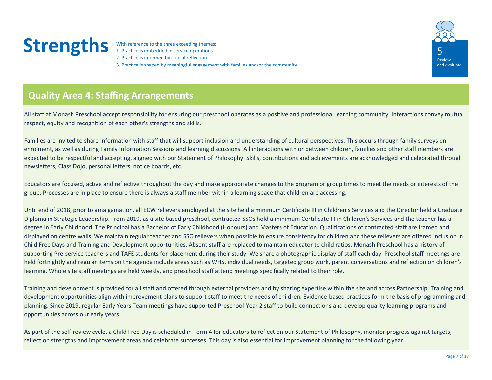With reference to the three exceeding themes:<br>
1. Practice is embedded in service operations<br>
2. Practice is informed by critical reflection 3. Practice is shaped by meaningful engagement with families and/or the community



### **Quality Area 4: Staffing Arrangements**

All staff at Monash Preschool accept responsibility for ensuring our preschool operates as a positive and professional learning community. Interactions convey mutual respect, equity and recognition of each other's strengths and skills.

Families are invited to share information with staff that will support inclusion and understanding of cultural perspectives. This occurs through family surveys on enrolment, as well as during Family Information Sessions and learning discussions. All interactions with or between children, families and other staff members are expected to be respectful and accepting, aligned with our Statement of Philosophy. Skills, contributions and achievements are acknowledged and celebrated through newsletters, Class Dojo, personal letters, notice boards, etc.

Educators are focused, active and reflective throughout the day and make appropriate changes to the program or group times to meet the needs or interests of the group. Processes are in place to ensure there is always a staff member within a learning space that children are accessing.

Until end of 2018, prior to amalgamation, all ECW relievers employed at the site held a minimum Certificate III in Children's Services and the Director held a Graduate Diploma in Strategic Leadership. From 2019, as a site based preschool, contracted SSOs hold a minimum Certificate III in Children's Services and the teacher has a degree in Early Childhood. The Principal has a Bachelor of Early Childhood (Honours) and Masters of Education. Qualifications of contracted staff are framed and displayed on centre walls. We maintain regular teacher and SSO relievers when possible to ensure consistency for children and these relievers are offered inclusion in Child Free Days and Training and Development opportunities. Absent staff are replaced to maintain educator to child ratios. Monash Preschool has a history of supporting Pre-service teachers and TAFE students for placement during their study. We share a photographic display of staff each day. Preschool staff meetings are held fortnightly and regular items on the agenda include areas such as WHS, individual needs, targeted group work, parent conversations and reflection on children's learning. Whole site staff meetings are held weekly, and preschool staff attend meetings specifically related to their role.

Training and development is provided for all staff and offered through external providers and by sharing expertise within the site and across Partnership. Training and development opportunities align with improvement plans to support staff to meet the needs of children. Evidence-based practices form the basis of programming and planning. Since 2019, regular Early Years Team meetings have supported Preschool-Year 2 staff to build connections and develop quality learning programs and opportunities across our early years.

As part of the self-review cycle, a Child Free Day is scheduled in Term 4 for educators to reflect on our Statement of Philosophy, monitor progress against targets, reflect on strengths and improvement areas and celebrate successes. This day is also essential for improvement planning for the following year.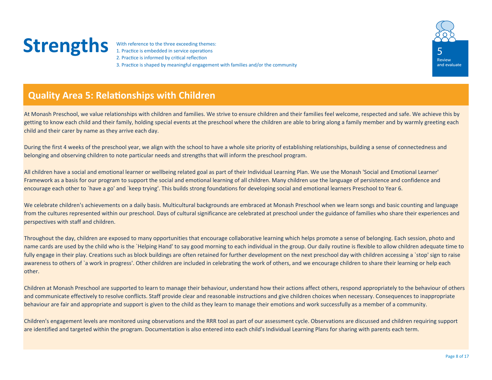With reference to the three exceeding themes:<br>
1. Practice is embedded in service operations<br>
2. Practice is informed by critical reflection 3. Practice is shaped by meaningful engagement with families and/or the community



### **Quality Area 5: Relationships with Children**

At Monash Preschool, we value relationships with children and families. We strive to ensure children and their families feel welcome, respected and safe. We achieve this by getting to know each child and their family, holding special events at the preschool where the children are able to bring along a family member and by warmly greeting each child and their carer by name as they arrive each day.

During the first 4 weeks of the preschool year, we align with the school to have a whole site priority of establishing relationships, building a sense of connectedness and belonging and observing children to note particular needs and strengths that will inform the preschool program.

All children have a social and emotional learner or wellbeing related goal as part of their Individual Learning Plan. We use the Monash 'Social and Emotional Learner' Framework as a basis for our program to support the social and emotional learning of all children. Many children use the language of persistence and confidence and encourage each other to `have a go' and `keep trying'. This builds strong foundations for developing social and emotional learners Preschool to Year 6.

We celebrate children's achievements on a daily basis. Multicultural backgrounds are embraced at Monash Preschool when we learn songs and basic counting and language from the cultures represented within our preschool. Days of cultural significance are celebrated at preschool under the guidance of families who share their experiences and perspectives with staff and children.

Throughout the day, children are exposed to many opportunities that encourage collaborative learning which helps promote a sense of belonging. Each session, photo and name cards are used by the child who is the `Helping Hand' to say good morning to each individual in the group. Our daily routine is flexible to allow children adequate time to fully engage in their play. Creations such as block buildings are often retained for further development on the next preschool day with children accessing a 'stop' sign to raise awareness to others of `a work in progress'. Other children are included in celebrating the work of others, and we encourage children to share their learning or help each other.

Children at Monash Preschool are supported to learn to manage their behaviour, understand how their actions affect others, respond appropriately to the behaviour of others and communicate effectively to resolve conflicts. Staff provide clear and reasonable instructions and give children choices when necessary. Consequences to inappropriate behaviour are fair and appropriate and support is given to the child as they learn to manage their emotions and work successfully as a member of a community.

Children's engagement levels are monitored using observations and the RRR tool as part of our assessment cycle. Observations are discussed and children requiring support are identified and targeted within the program. Documentation is also entered into each child's Individual Learning Plans for sharing with parents each term.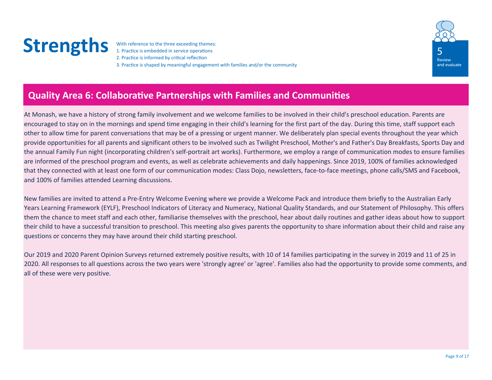With reference to the three exceeding themes:<br>
1. Practice is embedded in service operations<br>
2. Practice is informed by critical reflection 3. Practice is shaped by meaningful engagement with families and/or the community



### **Quality Area 6: Collaborative Partnerships with Families and Communities**

At Monash, we have a history of strong family involvement and we welcome families to be involved in their child's preschool education. Parents are encouraged to stay on in the mornings and spend time engaging in their child's learning for the first part of the day. During this time, staff support each other to allow time for parent conversations that may be of a pressing or urgent manner. We deliberately plan special events throughout the year which provide opportunities for all parents and significant others to be involved such as Twilight Preschool, Mother's and Father's Day Breakfasts, Sports Day and the annual Family Fun night (incorporating children's self-portrait art works). Furthermore, we employ a range of communication modes to ensure families are informed of the preschool program and events, as well as celebrate achievements and daily happenings. Since 2019, 100% of families acknowledged that they connected with at least one form of our communication modes: Class Dojo, newsletters, face-to-face meetings, phone calls/SMS and Facebook, and 100% of families attended Learning discussions.

New families are invited to attend a Pre-Entry Welcome Evening where we provide a Welcome Pack and introduce them briefly to the Australian Early Years Learning Framework (EYLF), Preschool Indicators of Literacy and Numeracy, National Quality Standards, and our Statement of Philosophy. This offers them the chance to meet staff and each other, familiarise themselves with the preschool, hear about daily routines and gather ideas about how to support their child to have a successful transition to preschool. This meeting also gives parents the opportunity to share information about their child and raise any questions or concerns they may have around their child starting preschool.

Our 2019 and 2020 Parent Opinion Surveys returned extremely positive results, with 10 of 14 families participating in the survey in 2019 and 11 of 25 in 2020. All responses to all questions across the two years were 'strongly agree' or 'agree'. Families also had the opportunity to provide some comments, and all of these were very positive.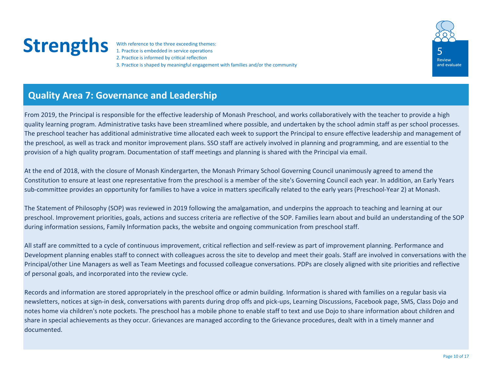With reference to the three exceeding themes:<br>
1. Practice is embedded in service operations<br>
2. Practice is informed by critical reflection 3. Practice is shaped by meaningful engagement with families and/or the community



#### **Quality Area 7: Governance and Leadership**

From 2019, the Principal is responsible for the effective leadership of Monash Preschool, and works collaboratively with the teacher to provide a high quality learning program. Administrative tasks have been streamlined where possible, and undertaken by the school admin staff as per school processes. The preschool teacher has additional administrative time allocated each week to support the Principal to ensure effective leadership and management of the preschool, as well as track and monitor improvement plans. SSO staff are actively involved in planning and programming, and are essential to the provision of a high quality program. Documentation of staff meetings and planning is shared with the Principal via email.

At the end of 2018, with the closure of Monash Kindergarten, the Monash Primary School Governing Council unanimously agreed to amend the Constitution to ensure at least one representative from the preschool is a member of the site's Governing Council each year. In addition, an Early Years sub-committee provides an opportunity for families to have a voice in matters specifically related to the early years (Preschool-Year 2) at Monash.

The Statement of Philosophy (SOP) was reviewed in 2019 following the amalgamation, and underpins the approach to teaching and learning at our preschool. Improvement priorities, goals, actions and success criteria are reflective of the SOP. Families learn about and build an understanding of the SOP during information sessions, Family Information packs, the website and ongoing communication from preschool staff.

All staff are committed to a cycle of continuous improvement, critical reflection and self-review as part of improvement planning. Performance and Development planning enables staff to connect with colleagues across the site to develop and meet their goals. Staff are involved in conversations with the Principal/other Line Managers as well as Team Meetings and focussed colleague conversations. PDPs are closely aligned with site priorities and reflective of personal goals, and incorporated into the review cycle.

Records and information are stored appropriately in the preschool office or admin building. Information is shared with families on a regular basis via newsletters, notices at sign-in desk, conversations with parents during drop offs and pick-ups, Learning Discussions, Facebook page, SMS, Class Dojo and notes home via children's note pockets. The preschool has a mobile phone to enable staff to text and use Dojo to share information about children and share in special achievements as they occur. Grievances are managed according to the Grievance procedures, dealt with in a timely manner and documented.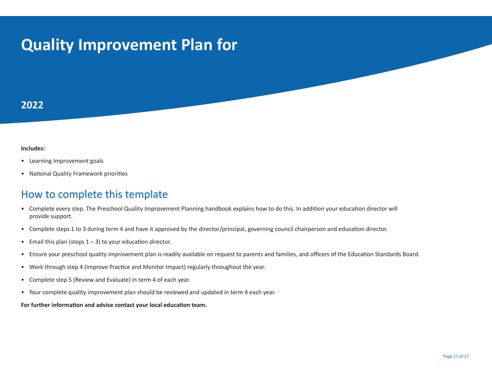## **Quality Improvement Plan for**

#### **202Ϯ**

#### *<u>Includes:</u>*

- Learning Improvement goals
- National Quality Framework priorities

#### How to complete this template

- Complete every step. The Preschool Quality Improvement Planning handbook explains how to do this. In addition your education director will provide support.
- Complete steps 1 to 3 during term 4 and have it approved by the director/principal, governing council chairperson and education director.
- •Email this plan (steps  $1 - 3$ ) to your education director.
- Ensure your preschool quality improvement plan is readily available on request to parents and families, and officers of the Education Standards Board.
- •Work through step 4 (Improve Practice and Monitor Impact) regularly throughout the year.
- $\bullet$ Complete step 5 (Review and Evaluate) in term 4 of each year.
- Your complete quality improvement plan should be reviewed and updated in term 4 each year.

#### For further information and advice contact your local education team.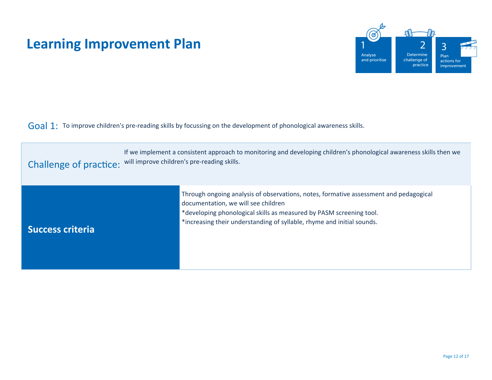

 $Goal 1:$  To improve children's pre-reading skills by focussing on the development of phonological awareness skills.

| Challenge of practice: will improve children's pre-reading skills. | If we implement a consistent approach to monitoring and developing children's phonological awareness skills then we                                                                                                                                                           |  |  |  |  |  |
|--------------------------------------------------------------------|-------------------------------------------------------------------------------------------------------------------------------------------------------------------------------------------------------------------------------------------------------------------------------|--|--|--|--|--|
| <b>Success criteria</b>                                            | Through ongoing analysis of observations, notes, formative assessment and pedagogical<br>documentation, we will see children<br>*developing phonological skills as measured by PASM screening tool.<br>*increasing their understanding of syllable, rhyme and initial sounds. |  |  |  |  |  |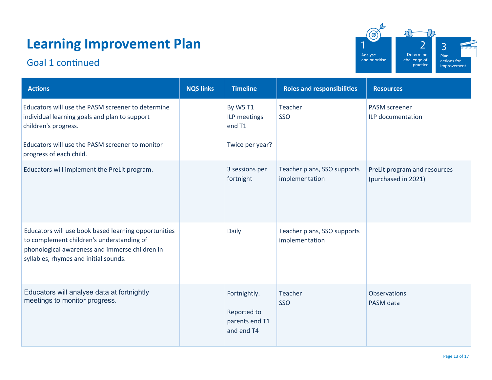### Goal 1 continued



| <b>Actions</b>                                                                                                                                                                               | <b>NQS links</b> | <b>Timeline</b>                                             | <b>Roles and responsibilities</b>             | <b>Resources</b>                                    |
|----------------------------------------------------------------------------------------------------------------------------------------------------------------------------------------------|------------------|-------------------------------------------------------------|-----------------------------------------------|-----------------------------------------------------|
| Educators will use the PASM screener to determine<br>individual learning goals and plan to support<br>children's progress.                                                                   |                  | By W5 T1<br>ILP meetings<br>end T1                          | Teacher<br>SSO                                | <b>PASM</b> screener<br>ILP documentation           |
| Educators will use the PASM screener to monitor<br>progress of each child.                                                                                                                   |                  | Twice per year?                                             |                                               |                                                     |
| Educators will implement the PreLit program.                                                                                                                                                 |                  | 3 sessions per<br>fortnight                                 | Teacher plans, SSO supports<br>implementation | PreLit program and resources<br>(purchased in 2021) |
| Educators will use book based learning opportunities<br>to complement children's understanding of<br>phonological awareness and immerse children in<br>syllables, rhymes and initial sounds. |                  | Daily                                                       | Teacher plans, SSO supports<br>implementation |                                                     |
| Educators will analyse data at fortnightly<br>meetings to monitor progress.                                                                                                                  |                  | Fortnightly.<br>Reported to<br>parents end T1<br>and end T4 | Teacher<br>SSO                                | <b>Observations</b><br>PASM data                    |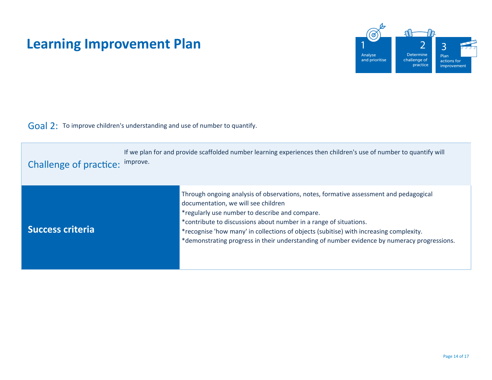

 $\overline{Goal}$  2: To improve children's understanding and use of number to quantify.

| <b>Challenge of practice:</b> | If we plan for and provide scaffolded number learning experiences then children's use of number to quantify will<br>improve.                                                                                                                                                                                                                                                                                                                 |
|-------------------------------|----------------------------------------------------------------------------------------------------------------------------------------------------------------------------------------------------------------------------------------------------------------------------------------------------------------------------------------------------------------------------------------------------------------------------------------------|
| <b>Success criteria</b>       | Through ongoing analysis of observations, notes, formative assessment and pedagogical<br>documentation, we will see children<br>*regularly use number to describe and compare.<br>*contribute to discussions about number in a range of situations.<br>*recognise 'how many' in collections of objects (subitise) with increasing complexity.<br>*demonstrating progress in their understanding of number evidence by numeracy progressions. |